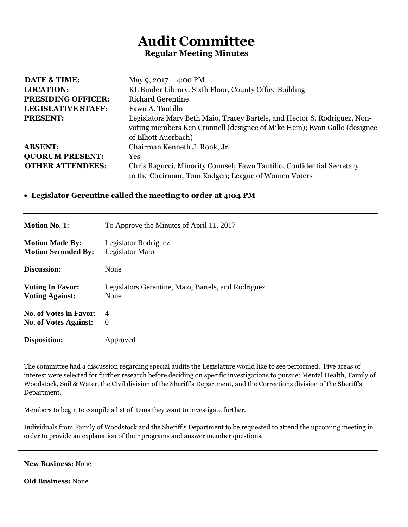## **Audit Committee Regular Meeting Minutes**

| <b>DATE &amp; TIME:</b>   | May 9, $2017 - 4:00 \text{ PM}$                                                                                                                                                |
|---------------------------|--------------------------------------------------------------------------------------------------------------------------------------------------------------------------------|
| <b>LOCATION:</b>          | KL Binder Library, Sixth Floor, County Office Building                                                                                                                         |
| <b>PRESIDING OFFICER:</b> | <b>Richard Gerentine</b>                                                                                                                                                       |
| <b>LEGISLATIVE STAFF:</b> | Fawn A. Tantillo                                                                                                                                                               |
| <b>PRESENT:</b>           | Legislators Mary Beth Maio, Tracey Bartels, and Hector S. Rodriguez, Non-<br>voting members Ken Crannell (designee of Mike Hein); Evan Gallo (designee<br>of Elliott Auerbach) |
| <b>ABSENT:</b>            | Chairman Kenneth J. Ronk, Jr.                                                                                                                                                  |
| <b>QUORUM PRESENT:</b>    | <b>Yes</b>                                                                                                                                                                     |
| <b>OTHER ATTENDEES:</b>   | Chris Ragucci, Minority Counsel; Fawn Tantillo, Confidential Secretary                                                                                                         |
|                           | to the Chairman; Tom Kadgen; League of Women Voters                                                                                                                            |

## **Legislator Gerentine called the meeting to order at 4:04 PM**

| <b>Motion No. 1:</b>          | To Approve the Minutes of April 11, 2017            |
|-------------------------------|-----------------------------------------------------|
| <b>Motion Made By:</b>        | Legislator Rodriguez                                |
| <b>Motion Seconded By:</b>    | Legislator Maio                                     |
| Discussion:                   | None                                                |
| <b>Voting In Favor:</b>       | Legislators Gerentine, Maio, Bartels, and Rodriguez |
| <b>Voting Against:</b>        | None                                                |
| <b>No. of Votes in Favor:</b> | $\overline{4}$                                      |
| <b>No. of Votes Against:</b>  | $\theta$                                            |
| Disposition:                  | Approved                                            |

The committee had a discussion regarding special audits the Legislature would like to see performed. Five areas of interest were selected for further research before deciding on specific investigations to pursue: Mental Health, Family of Woodstock, Soil & Water, the Civil division of the Sheriff's Department, and the Corrections division of the Sheriff's Department.

Members to begin to compile a list of items they want to investigate further.

Individuals from Family of Woodstock and the Sheriff's Department to be requested to attend the upcoming meeting in order to provide an explanation of their programs and answer member questions.

| <b>New Business: None</b> |  |
|---------------------------|--|
|---------------------------|--|

**Old Business:** None